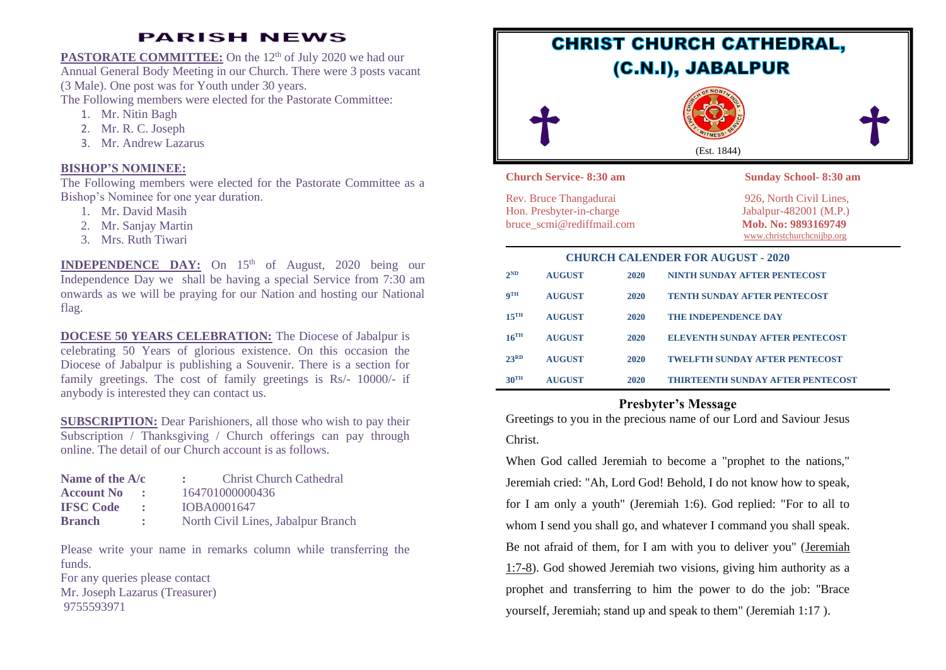# **PARISH NEWS**

**PASTORATE COMMITTEE:** On the 12<sup>th</sup> of July 2020 we had our Annual General Body Meeting in our Church. There were 3 posts vacant (3 Male). One post was for Youth under 30 years. The Following members were elected for the Pastorate Committee:

- 1. Mr. Nitin Bagh
- 2. Mr. R. C. Joseph
- 3. Mr. Andrew Lazarus

## **BISHOP'S NOMINEE:**

The Following members were elected for the Pastorate Committee as a Bishop's Nominee for one year duration.

- 1. Mr. David Masih
- 2. Mr. Sanjay Martin
- 3. Mrs. Ruth Tiwari

**INDEPENDENCE DAY:** On 15<sup>th</sup> of August, 2020 being our Independence Day we shall be having a special Service from 7:30 am onwards as we will be praying for our Nation and hosting our National flag.

**DOCESE 50 YEARS CELEBRATION:** The Diocese of Jabalpur is celebrating 50 Years of glorious existence. On this occasion the Diocese of Jabalpur is publishing a Souvenir. There is a section for family greetings. The cost of family greetings is Rs/- 10000/- if anybody is interested they can contact us.

**SUBSCRIPTION:** Dear Parishioners, all those who wish to pay their Subscription / Thanksgiving / Church offerings can pay through online. The detail of our Church account is as follows.

| Name of the A/c   |            | <b>Christ Church Cathedral</b>     |
|-------------------|------------|------------------------------------|
| <b>Account No</b> | $\sim$     | 164701000000436                    |
| <b>IFSC Code</b>  | $\bullet$  | IOBA0001647                        |
| <b>Branch</b>     | $\sim 200$ | North Civil Lines, Jabalpur Branch |

Please write your name in remarks column while transferring the funds.

For any queries please contact Mr. Joseph Lazarus (Treasurer) 9755593971



| $2^{ND}$<br><b>AUGUST</b><br>NINTH SUNDAY AFTER PENTECOST<br>2020<br>$\mathbf{Q}$ TH<br><b>TENTH SUNDAY AFTER PENTECOST</b><br><b>AUGUST</b><br>2020<br>$15$ <sup>TH</sup><br><b>THE INDEPENDENCE DAY</b><br><b>AUGUST</b><br>2020 | <b>CHURCH CALENDER FOR AUGUST - 2020</b> |  |  |  |  |
|------------------------------------------------------------------------------------------------------------------------------------------------------------------------------------------------------------------------------------|------------------------------------------|--|--|--|--|
|                                                                                                                                                                                                                                    |                                          |  |  |  |  |
|                                                                                                                                                                                                                                    |                                          |  |  |  |  |
|                                                                                                                                                                                                                                    |                                          |  |  |  |  |
| $16$ <sup>TH</sup><br><b>AUGUST</b><br>ELEVENTH SUNDAY AFTER PENTECOST<br>2020                                                                                                                                                     |                                          |  |  |  |  |
| 23 <sup>RD</sup><br><b>AUGUST</b><br><b>TWELFTH SUNDAY AFTER PENTECOST</b><br>2020                                                                                                                                                 |                                          |  |  |  |  |
| $30^{\text{TH}}$<br><b>THIRTEENTH SUNDAY AFTER PENTECOST</b><br><b>AUGUST</b><br>2020                                                                                                                                              |                                          |  |  |  |  |

## **Presbyter's Message**

Greetings to you in the precious name of our Lord and Saviour Jesus Christ.

When God called Jeremiah to become a "prophet to the nations," Jeremiah cried: "Ah, Lord God! Behold, I do not know how to speak, for I am only a youth" (Jeremiah 1:6). God replied: "For to all to whom I send you shall go, and whatever I command you shall speak. Be not afraid of them, for I am with you to deliver you" [\(Jeremiah](https://www.unity.org/resources/bible-interpretation/jeremiah-14-8-now-word-lord-came-me-saying-i-formed-you-womb?PromotionCode=WL7C0031) [1:7-8\)](https://www.unity.org/resources/bible-interpretation/jeremiah-14-8-now-word-lord-came-me-saying-i-formed-you-womb?PromotionCode=WL7C0031). God showed Jeremiah two visions, giving him authority as a prophet and transferring to him the power to do the job: ''Brace yourself, Jeremiah; stand up and speak to them" (Jeremiah 1:17 ).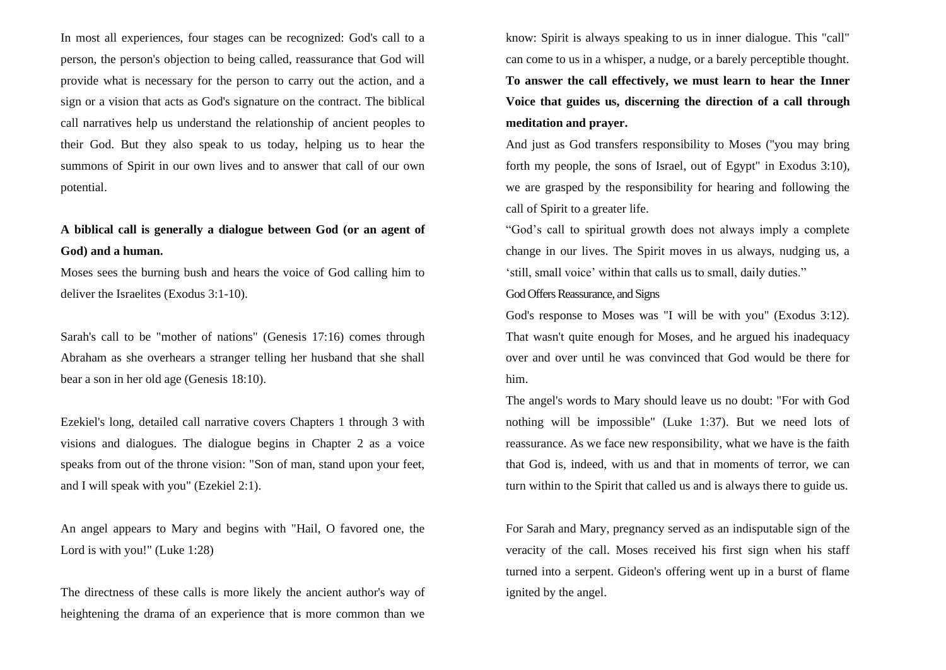In most all experiences, four stages can be recognized: God's call to a person, the person's objection to being called, reassurance that God will provide what is necessary for the person to carry out the action, and a sign or a vision that acts as God's signature on the contract. The biblical call narratives help us understand the relationship of ancient peoples to their God. But they also speak to us today, helping us to hear the summons of Spirit in our own lives and to answer that call of our own potential.

## **A biblical call is generally a dialogue between God (or an agent of God) and a human.**

Moses sees the burning bush and hears the voice of God calling him to deliver the Israelites (Exodus 3:1-10).

Sarah's call to be "mother of nations" (Genesis 17:16) comes through Abraham as she overhears a stranger telling her husband that she shall bear a son in her old age (Genesis 18:10).

Ezekiel's long, detailed call narrative covers Chapters 1 through 3 with visions and dialogues. The dialogue begins in Chapter 2 as a voice speaks from out of the throne vision: "Son of man, stand upon your feet, and I will speak with you" (Ezekiel 2:1).

An angel appears to Mary and begins with "Hail, O favored one, the Lord is with you!" (Luke 1:28)

The directness of these calls is more likely the ancient author's way of heightening the drama of an experience that is more common than we

know: Spirit is always speaking to us in inner dialogue. This "call" can come to us in a whisper, a nudge, or a barely perceptible thought. **To answer the call effectively, we must learn to hear the Inner Voice that guides us, discerning the direction of a call through meditation and prayer.**

And just as God transfers responsibility to Moses (''you may bring forth my people, the sons of Israel, out of Egypt" in Exodus 3:10), we are grasped by the responsibility for hearing and following the call of Spirit to a greater life.

"God's call to spiritual growth does not always imply a complete change in our lives. The Spirit moves in us always, nudging us, a 'still, small voice' within that calls us to small, daily duties."

#### God Offers Reassurance, and Signs

God's response to Moses was "I will be with you" (Exodus 3:12). That wasn't quite enough for Moses, and he argued his inadequacy over and over until he was convinced that God would be there for him.

The angel's words to Mary should leave us no doubt: "For with God nothing will be impossible" (Luke 1:37). But we need lots of reassurance. As we face new responsibility, what we have is the faith that God is, indeed, with us and that in moments of terror, we can turn within to the Spirit that called us and is always there to guide us.

For Sarah and Mary, pregnancy served as an indisputable sign of the veracity of the call. Moses received his first sign when his staff turned into a serpent. Gideon's offering went up in a burst of flame ignited by the angel.